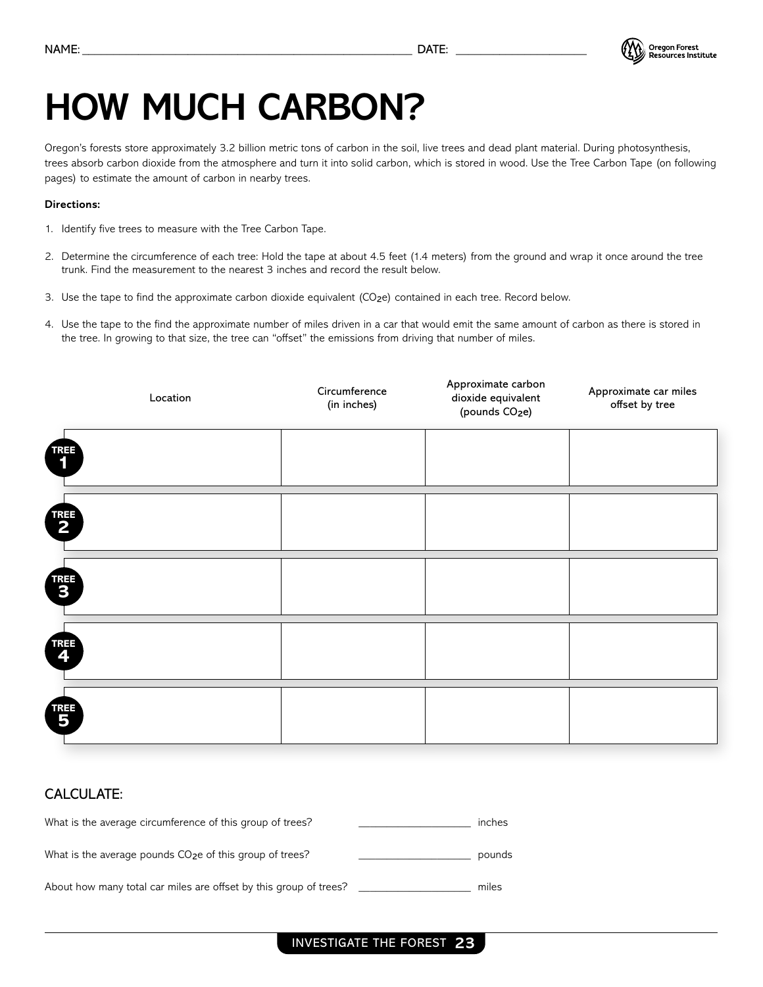

### **HOW MUCH CARBON?**

Oregon's forests store approximately 3.2 billion metric tons of carbon in the soil, live trees and dead plant material. During photosynthesis, trees absorb carbon dioxide from the atmosphere and turn it into solid carbon, which is stored in wood. Use the Tree Carbon Tape (on following pages) to estimate the amount of carbon in nearby trees.

#### **Directions:**

- 1. Identify five trees to measure with the Tree Carbon Tape.
- 2. Determine the circumference of each tree: Hold the tape at about 4.5 feet (1.4 meters) from the ground and wrap it once around the tree trunk. Find the measurement to the nearest 3 inches and record the result below.
- 3. Use the tape to find the approximate carbon dioxide equivalent (CO2e) contained in each tree. Record below.
- 4. Use the tape to the find the approximate number of miles driven in a car that would emit the same amount of carbon as there is stored in the tree. In growing to that size, the tree can "offset" the emissions from driving that number of miles.



#### CALCULATE:

| What is the average circumference of this group of trees?            | inches |
|----------------------------------------------------------------------|--------|
| What is the average pounds CO <sub>2</sub> e of this group of trees? | pounds |
| About how many total car miles are offset by this group of trees?    | miles  |

#### INVESTIGATE THE FOREST **23**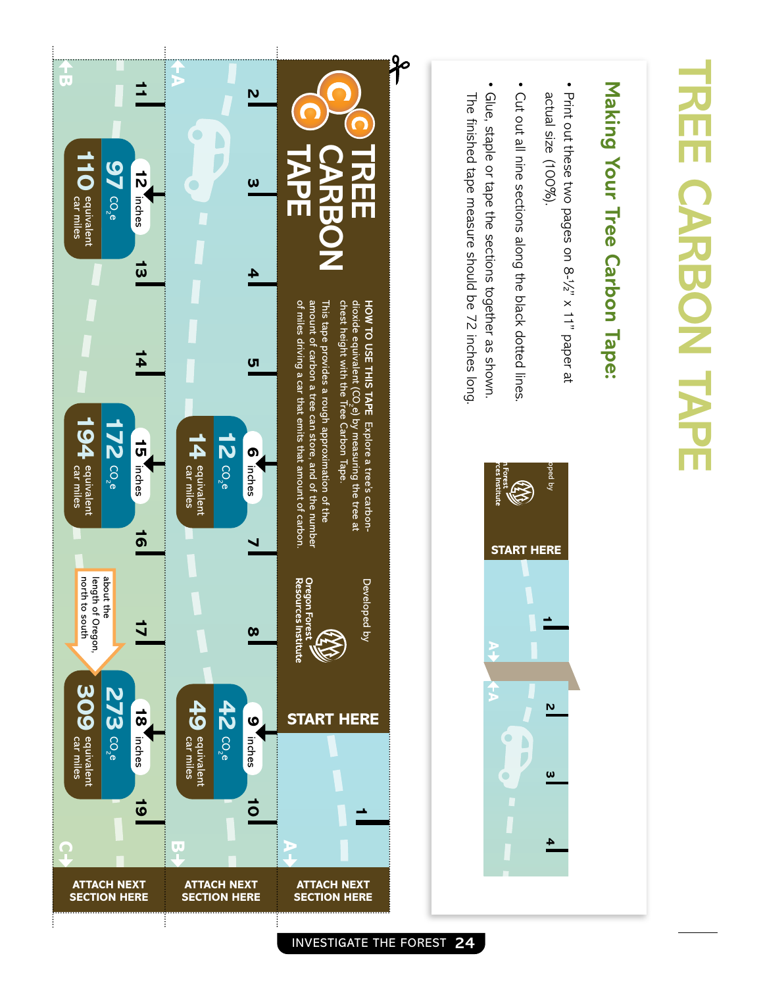# **TREE CARBON TAPE** CARBON TAPE

## Making Your Tree Carbon Tape: **Making Your Tree Carbon Tape:**

- Print out these two pages on 8-1/2" x 11" paper at actual size (100%). actual size (100%). Print out these two pages on 8-½" x 11" paper at
- Cut out all nine sections along the black dotted lines Cut out all nine sections along the black dotted lines.
- The finished tape measure should be 72 inches long. Glue, staple or tape the sections together as shown.





INVESTIGATE THE FOREST **24**